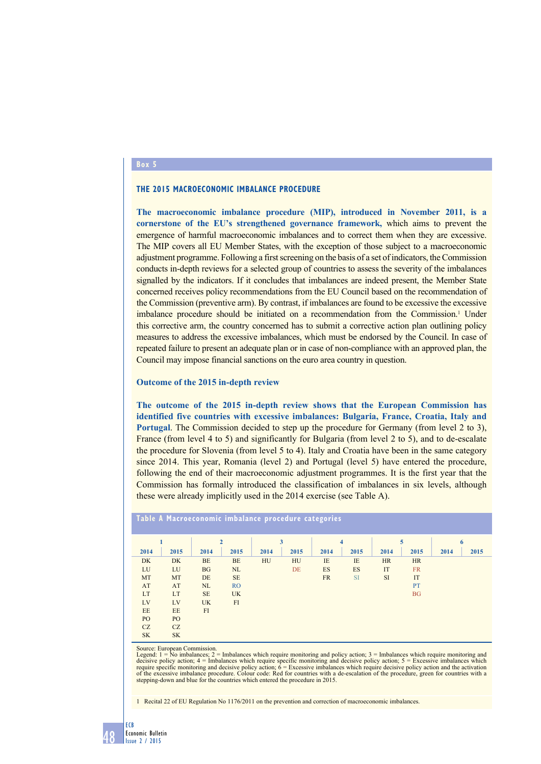## **Box 5**

#### **The 2015 macroeconomic imbalance procedure**

**The macroeconomic imbalance procedure (MIP), introduced in November 2011, is a cornerstone of the EU's strengthened governance framework,** which aims to prevent the emergence of harmful macroeconomic imbalances and to correct them when they are excessive. The MIP covers all EU Member States, with the exception of those subject to a macroeconomic adjustment programme. Following a first screening on the basis of a set of indicators, the Commission conducts in-depth reviews for a selected group of countries to assess the severity of the imbalances signalled by the indicators. If it concludes that imbalances are indeed present, the Member State concerned receives policy recommendations from the EU Council based on the recommendation of the Commission (preventive arm). By contrast, if imbalances are found to be excessive the excessive imbalance procedure should be initiated on a recommendation from the Commission.<sup>1</sup> Under this corrective arm, the country concerned has to submit a corrective action plan outlining policy measures to address the excessive imbalances, which must be endorsed by the Council. In case of repeated failure to present an adequate plan or in case of non-compliance with an approved plan, the Council may impose financial sanctions on the euro area country in question.

### **Outcome of the 2015 in-depth review**

**The outcome of the 2015 in-depth review shows that the European Commission has identified five countries with excessive imbalances: Bulgaria, France, Croatia, Italy and Portugal**. The Commission decided to step up the procedure for Germany (from level 2 to 3), France (from level 4 to 5) and significantly for Bulgaria (from level 2 to 5), and to de-escalate the procedure for Slovenia (from level 5 to 4). Italy and Croatia have been in the same category since 2014. This year, Romania (level 2) and Portugal (level 5) have entered the procedure, following the end of their macroeconomic adjustment programmes. It is the first year that the Commission has formally introduced the classification of imbalances in six levels, although these were already implicitly used in the 2014 exercise (see Table A).

| <u>Table A Macroeconomic imbalance procedure categories</u> |                 |              |           |      |      |           |           |      |           |      |      |
|-------------------------------------------------------------|-----------------|--------------|-----------|------|------|-----------|-----------|------|-----------|------|------|
|                                                             |                 | $\mathbf{2}$ |           | 3    |      | 4         |           | 5    |           | 6    |      |
| 2014                                                        | 2015            | 2014         | 2015      | 2014 | 2015 | 2014      | 2015      | 2014 | 2015      | 2014 | 2015 |
| DK                                                          | DK              | <b>BE</b>    | <b>BE</b> | HU   | HU   | IE        | IE        | HR   | <b>HR</b> |      |      |
| LU                                                          | LU              | <b>BG</b>    | NL        |      | DE   | ES        | <b>ES</b> | IT   | <b>FR</b> |      |      |
| MT                                                          | MT              | DE           | <b>SE</b> |      |      | <b>FR</b> | <b>SI</b> | SI   | IT        |      |      |
| AT                                                          | AT              | NL           | <b>RO</b> |      |      |           |           |      | PT        |      |      |
| LT                                                          | LT              | <b>SE</b>    | <b>UK</b> |      |      |           |           |      | <b>BG</b> |      |      |
| LV                                                          | LV              | <b>UK</b>    | FI        |      |      |           |           |      |           |      |      |
| EE                                                          | EE              | FI           |           |      |      |           |           |      |           |      |      |
| PO <sub>1</sub>                                             | PO <sub>1</sub> |              |           |      |      |           |           |      |           |      |      |
| CZ                                                          | CZ              |              |           |      |      |           |           |      |           |      |      |
| <b>SK</b>                                                   | <b>SK</b>       |              |           |      |      |           |           |      |           |      |      |

Source: European Commission.<br>Legend: 1 = No imbalances; 2 = Imbalances which require monitoring and policy action; 3 = Imbalances which require monitoring and decisive policy action; 4 = Imbalances which require specific monitoring and decisive policy action; 5 = Excessive imbalances which<br>require specific monitoring and decisive policy action; 6 = Excessive imbalances which req stepping-down and blue for the countries which entered the procedure in 2015.

1 Recital 22 of EU Regulation No 1176/2011 on the prevention and correction of macroeconomic imbalances.

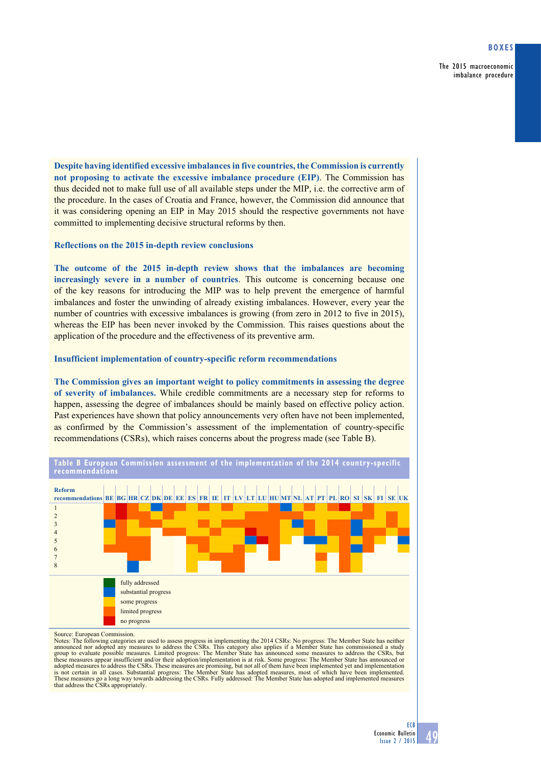The 2015 macroeconomic imbalance procedure

**Despite having identified excessive imbalances in five countries, the Commission is currently not proposing to activate the excessive imbalance procedure (EIP)**. The Commission has thus decided not to make full use of all available steps under the MIP, i.e. the corrective arm of the procedure. In the cases of Croatia and France, however, the Commission did announce that it was considering opening an EIP in May 2015 should the respective governments not have committed to implementing decisive structural reforms by then.

# **Reflections on the 2015 in-depth review conclusions**

**The outcome of the 2015 in-depth review shows that the imbalances are becoming increasingly severe in a number of countries**. This outcome is concerning because one of the key reasons for introducing the MIP was to help prevent the emergence of harmful imbalances and foster the unwinding of already existing imbalances. However, every year the number of countries with excessive imbalances is growing (from zero in 2012 to five in 2015), whereas the EIP has been never invoked by the Commission. This raises questions about the application of the procedure and the effectiveness of its preventive arm.

## **Insufficient implementation of country-specific reform recommendations**

**The Commission gives an important weight to policy commitments in assessing the degree of severity of imbalances.** While credible commitments are a necessary step for reforms to happen, assessing the degree of imbalances should be mainly based on effective policy action. Past experiences have shown that policy announcements very often have not been implemented, as confirmed by the Commission's assessment of the implementation of country-specific recommendations (CSRs), which raises concerns about the progress made (see Table B).



**table B european Commission assessment of the implementation of the 2014 country-specific recommendations**

Source: European Commission.

Notes: The following categories are used to assess progress in implementing the 2014 CSRs: No progress: The Member State has neither<br>announced nor adopted any measures to address the CSRs. This category also applies if a M group to evaluate possible measures. Limited progress: The Member State has announced some measures to address the CSRs, but<br>these measures appear insufficient and/or their adoption/implementation is at risk. Some progress adopted measures to address the CSRs. These measures are promising, but not all of them have been implemented yet and implementation is not certain in all cases. Substantial progress: The Member State has adopted measures, most of which have been implemented. These measures go a long way towards addressing the CSRs. Fully addressed: The Member State has adopted and implemented measures<br>that address the CSRs appropriately.